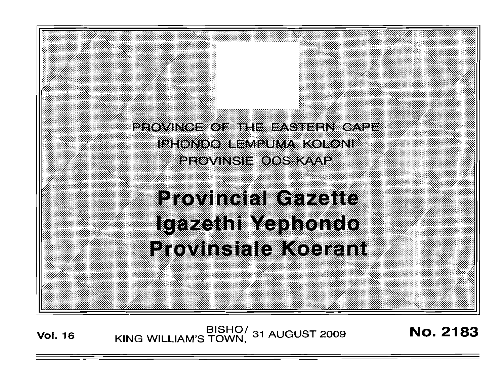PROVINCE OF THE EASTERN CAPE IPHONDO EEMPUMA KOLONI erovingie oos kaap

# **Provincial Gazette** Igazeth Yephondo **Provinsiale Koerant**

**Vol. <sup>16</sup>** BISHO/ KING WILLIAM'S TOWN, <sup>31</sup> AUGUST <sup>2009</sup> No. 2183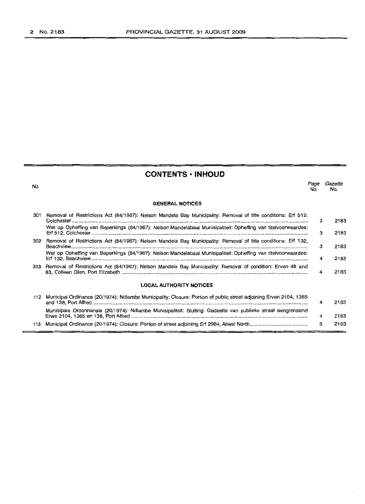## **CONTENTS • INHOUD**

| No. |                                                                                                                   | Page<br>No. | Gazette<br>No. |
|-----|-------------------------------------------------------------------------------------------------------------------|-------------|----------------|
|     | <b>GENERAL NOTICES</b>                                                                                            |             |                |
| 301 | Removal of Restrictions Act (84/1967): Nelson Mandela Bay Municipality: Removal of title conditions: Erf 512,     | 3           | 2183           |
|     | Wet op Opheffing van Beperkings (84/1967): Nelson Mandelabaai Munisipaliteit: Opheffing van titelvoorwaardes:     | з           | 2183           |
|     | 302 Removal of Restrictions Act (84/1967): Nelson Mandela Bay Municipality: Removal of title conditions: Erf 132, | з           | 2183           |
|     | Wet op Opheffing van Beperkings (84/1967): Nelson Mandelabaai Munisipaliteit: Opheffing van titelvoorwaardes:     | 4           | 2183           |
| 303 | Removal of Restrictions Act (84/1967): Nelson Mandela Bay Municipality: Removal of condition: Erven 48 and        | 4           | 2183           |
|     | <b>LOCAL AUTHORITY NOTICES</b>                                                                                    |             |                |
| 112 | Municipal Ordinance (20/1974): Ndlambe Municipality: Closure: Portion of public street adjoining Erven 2104, 1365 | 4           | 2183           |
|     | Munisipale Ordonnansie (20/1974): Ndlambe Munisipaliteit: Sluiting: Gedeelte van publieke straat aangrensend      | 4           | 2183           |

113 Municipal Ordinance (20/1974): Closure: Portion of street adjoining Erf 2984, Aliwal North ..

Erwe 2104, 1365 en 138, Port Alfred ..

5

2183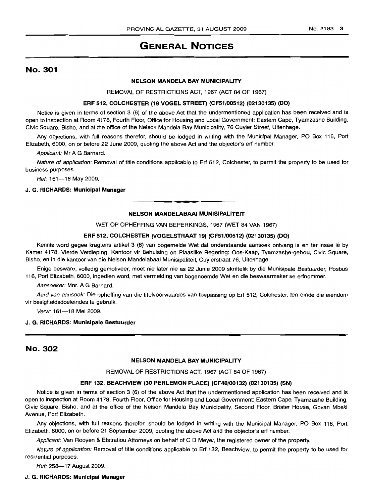# GENERAL NOTICES

## No. 301

## NELSON MANDELA BAY MUNICIPALITY

REMOVAL OF RESTRICTIONS ACT, 1967 (ACT 84 OF 1967)

## ERF 512, COLCHESTER (19 VOGEL STREET) (CF51/00512) (02130135) (DO)

Notice is given in terms of section 3 (6) of the above Act that the undermentioned application has been received and is open to inspection at Room 4178, Fourth Floor, Office for Housing and Local Government: Eastern Cape, Tyamzashe Building, Civic Square, Bisho, and at the office of the Nelson Mandela Bay Municipality, 76 Cuyler Street, Uitenhage.

Any objections, with full reasons therefor, should be lodged in writing with the Municipal Manager, PO Box 116, Port Elizabeth, 6000, on or before 22 June 2009, quoting the above Act and the objector's ert number.

Applicant: Mr A G Barnard.

Nature of application: Removal of title conditions applicable to Erf 512, Colchester, to permit the property to be used for business purposes.

Ref: 161-18 May 2009.

## J. G. RICHARDS: Municipal Manager

## NELSON MANDELABAAI MUNISIPALITEIT

.**- .**

WET OP OPHEFFING VAN BEPERKINGS, 1967 (WET 84 VAN 1967)

## ERF 512, COLCHESTER (VOGELSTRAAT 19) (CF51/00512) (02130135) (DO)

Kennis word gegee kragtens artikel 3 (6) van bogemelde Wet dat onderstaande aansoek ontvang is en ter insae lê by Kamer 4178, Vierde Verdieping, Kantoor vir Behuising en Plaaslike Regering: Oos-Kaap, Tyamzashe-gebou, Civic Square, Bisho, en in die kantoor van die Nelson Mandelabaai Munisipaliteit, Cuylerstraat 76, Uitenhage.

Enige besware, volledig gemotiveer, moet nie later nie as 22 Junie 2009 skriftelik by die Munisipale Bestuurder, Posbus 116, Port Elizabeth, 6000, ingedien word, met vermelding van bogenoemde Wet en die beswaarmaker se erfnommer.

Aansoeker: Mnr. A G Barnard.

Aard van aansoek: Die opheffing van die titelvoorwaardes van toepassing op Erf 512, Colchester, ten einde die eiendom vir besigheidsdoeleindes te gebruik.

Verw: 161-18 Mei 2009.

#### J. G. RICHARDS: Munisipale Bestuurder

## No. 302

## NELSON MANDELA BAY MUNICIPALITY

REMOVAL OF RESTRICTIONS ACT, 1967 (ACT 84 OF 1967)

## ERF 132, BEACHVIEW (30 PERLEMON PLACE) (CF48/00132) (02130135) (SN)

Notice is given in terms of section 3 (6) of the above Act that the undermentioned application has been received and is open to inspection at Room 4178, Fourth Floor, Office for Housing and Local Government: Eastern Cape, Tyamzashe Building, Civic Square, Bisho, and at the office of the Nelson Mandela Bay Municipality, Second Floor, Brister House, Govan Mbeki Avenue, Port Elizabeth.

Any objections, with full reasons therefor, should be lodged in writing with the Municipal Manager, PO Box 116, Port Elizabeth, 6000, on or before 21 September 2009, quoting the above Act and the objector's ert number.

Applicant: Van Rooyen & Efstratiou Attorneys on behalf of C D Meyer, the registered owner of the property.

Nature of application: Removal of title conditions applicable to Ert 132, Beachview, to permit the property to be used for residential purposes.

Ref: 258-17 August 2009.

## J. G. RICHARDS: Municipal Manager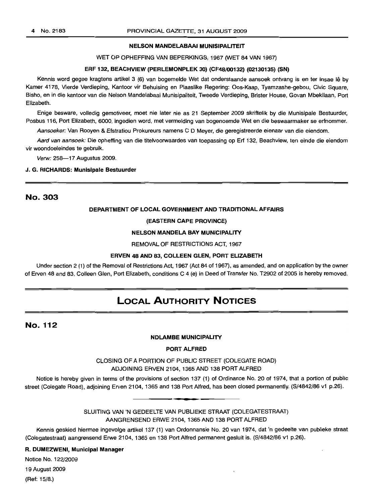## NELSON MANDELABAAI MUNISIPALITEIT

WET OP OPHEFFING VAN BEPERKINGS, 1967 (WET 84 VAN 1967)

## ERF 132, BEACHVIEW (PERLEMONPLEK 30) (CF48/00132) (02130135) (SN)

Kennis word gegee kragtens artikel 3 (6) van bogemelde Wet dat onderstaande aansoek ontvang is en ter insae lê by Kamer 4178, Vierde Verdieping, Kantoor vir Behuising en Plaaslike Regering: Oos-Kaap, Tyamzashe-gebou, Civic Square, Bisho, en in die kantoor van die Nelson Mandelabaai Munisipaliteit, Tweede Verdieping, Brister House, Govan Mbekilaan, Port Elizabeth.

Enige besware, volledig gemotiveer, moet nie later nie as 21 September 2009 skriftelik by die Munisipale Bestuurder, Posbus 116, Port Elizabeth, 6000, ingedien word, met vermelding van bogenoemde Wet en die beswaarmaker se erfnommer.

Aansoeker: Van Rooyen & Efstratiou Prokureurs namens C D Meyer, die geregistreerde eienaar van die eiendom.

Aard van aansoek: Die opheffing van die titelvoorwaardes van toepassing op Erf 132, Beachview, ten einde die eiendom vir woondoeleindes te gebruik.

Verw: 258-17 Augustus 2009.

## J. G. RICHARDS: Munisipale Bestuurder

## No. 303

## DEPARTMENT OF LOCAL GOVERNMENT AND TRADITIONAL AFFAIRS

## (EASTERN CAPE PROVINCE)

## NELSON MANDELA BAY MUNICIPALITY

#### REMOVAL OF RESTRICTIONS ACT, 1967

## ERVEN 48 AND 83, COLLEEN GLEN, PORT ELIZABETH

Under section 2 (1) of the Removal of Restrictions Act, 1967 (Act 84 of 1967), as amended, and on application by the owner of Erven 48 and 83, Colleen Glen, Port Elizabeth, conditions C 4 (e) in Deed of Transfer No. T2902 of 2005 is hereby removed.

# **LOCAL AUTHORITY NOTICES**

## **No. 112**

#### NDLAMBE MUNICIPALITY

PORT ALFRED

CLOSING OF A PORTION OF PUBLIC STREET (COLEGATE ROAD) ADJOINING ERVEN 2104, 1365 AND 138 PORT ALFRED

Notice is hereby given in terms of the provisions of section 137 (1) of Ordinance No. 20 of 1974, that a portion of public street (Colegate Road), adjoining Erven 2104, 1365 and 138 Port Alfred, has been closed permanently. (S/4842/86 v1 p.26). **-.**

> SLUITING VAN 'N GEDEELTE VAN PUBLIEKE STRAAT (COLEGATESTRAAT) AANGRENSEND ERWE 2104, 1365AND 138 PORT ALFRED

Kennis geskied hiermee ingevolge artikel 137 (1) van Ordonnansie No. 20 van 1974, dat 'n gedeelte van publieke straat (Colegatestraat) aangrensend Erwe 2104, 1365 en 138 Port Alfred permanent gesluit is. (S/4842/86 v1 p.26).

## R. DUMEZWENI, Municipal Manager

Notice No. 122/2009

19 August 2009 (Ref: 15/8.)